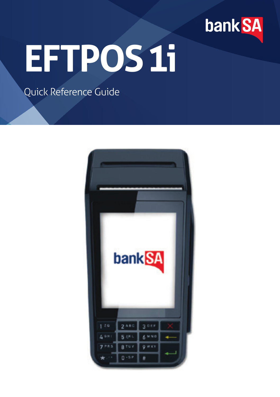

# **EFTPOS 1i**

## Quick Reference Guide

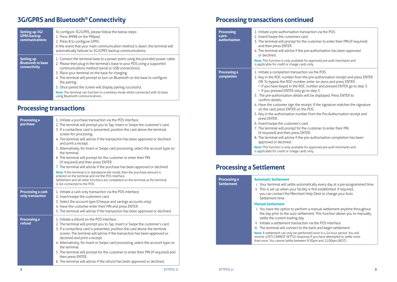# **3G/GPRS and Bluetooth® Connectivity**

| Setting up 3G/<br><b>GPRS</b> backup<br>communications        | To configure 3G/GPRS, please follow the below steps:<br>1. Press #998 on the PINpad.<br>2. Press 8 to configure GPRS.<br>In the event that your main communication method is down, the terminal will<br>automatically failover to 3G/GPRS backup communications.                                                                                                                                                                                                                                                                                              |
|---------------------------------------------------------------|---------------------------------------------------------------------------------------------------------------------------------------------------------------------------------------------------------------------------------------------------------------------------------------------------------------------------------------------------------------------------------------------------------------------------------------------------------------------------------------------------------------------------------------------------------------|
| <b>Setting up</b><br><b>Bluetooth to base</b><br>connectivity | 1. Connect the terminal base to a power point using the provided power cable.<br>2. Please then plug in the terminal's base to your POS using a supported<br>communications method (serial or USB connections).<br>3. Place your terminal on the base for charging.<br>4. The terminal will prompt to turn on Bluetooth on the base to configure<br>the pairing.<br>5. Once paired the screen will display pairing successful.<br><b>Note:</b> The terminal can function in a wireless mode whilst connected with its base<br>using Bluetooth communications. |

## **Processing transactions**

| <b>Processing a</b><br>purchase       | 1. Initiate a purchase transaction via the POS interface.<br>2. The terminal will prompt you to Tap, Insert or Swipe the customer's card.<br>3. If a contactless card is presented, position the card above the terminal<br>screen for processing.<br>4. The terminal will advise if the transaction has been approved or declined<br>and print a receipt.<br>5. Alternatively, for Insert or Swipe card processing, select the account type on<br>the terminal<br>6. The terminal will prompt for the customer to enter their PIN<br>(if required) and then press ENTER.<br>7. The terminal will advise if the purchase has been approved or declined.<br>Note: If the terminal is in standalone-lite mode, then the purchase amount is<br>entered on the terminal and not the POS interface.<br>Settlement and all other functions are completed on the terminal as the terminal<br>is not connected to the POS. |
|---------------------------------------|--------------------------------------------------------------------------------------------------------------------------------------------------------------------------------------------------------------------------------------------------------------------------------------------------------------------------------------------------------------------------------------------------------------------------------------------------------------------------------------------------------------------------------------------------------------------------------------------------------------------------------------------------------------------------------------------------------------------------------------------------------------------------------------------------------------------------------------------------------------------------------------------------------------------|
| Processing a cash<br>only transaction | 1. Initiate a cash only transaction via the POS interface.<br>2. Insert/swipe the customers card.<br>3. Select the account type (Cheque and savings accounts only).<br>4. Have the customer enter their PIN and press ENTER.<br>5. The terminal will advise if the transaction has been approved or declined.                                                                                                                                                                                                                                                                                                                                                                                                                                                                                                                                                                                                      |
| <b>Processing a</b><br>refund         | 1. Initiate a refund on the POS interface.<br>2. The terminal will prompt you to Tap, Insert or Swipe the customer's card.<br>3. If a contactless card is presented, position the card above the terminal<br>screen. The terminal will advise if the transaction has been approved or<br>declined and print a receipt.<br>4. Alternatively, for Insert or Swipe card processing, select the account type on<br>the terminal<br>5. The terminal will prompt for the customer to enter their PIN (if required) and<br>then press ENTER.<br>6. The terminal will advise if the refund has been approved or declined.                                                                                                                                                                                                                                                                                                  |

# **Processing transactions continued**

| Processing<br>a pre-<br>authorisation | 1. Initiate a pre-authorisation transaction via the POS.<br>2. Insert/Swipe the customers card.<br>3. The terminal will prompt for the customer to enter their PIN (if required)<br>and then press ENTER.<br>4. The terminal will advise if the pre-authorisation has been approved<br>or declined.<br>Note: This function is only available for approved pre-auth merchants and<br>is applicable for credit or charge cards only.                                                                                                                                                                                                                                                                                                                                                                                                                                                                                                                                                                                             |
|---------------------------------------|--------------------------------------------------------------------------------------------------------------------------------------------------------------------------------------------------------------------------------------------------------------------------------------------------------------------------------------------------------------------------------------------------------------------------------------------------------------------------------------------------------------------------------------------------------------------------------------------------------------------------------------------------------------------------------------------------------------------------------------------------------------------------------------------------------------------------------------------------------------------------------------------------------------------------------------------------------------------------------------------------------------------------------|
| <b>Processing a</b><br>completion     | 1. Initiate a completion transaction via the POS.<br>2. Key in the ROC number from the pre-authorisation receipt and press ENTER.<br>OR: To bypass the ROC number, enter six zeros and press ENTER.<br>• If you have keyed in the ROC number and pressed ENTER go to step 3.<br>• If you pressed ENTER only go to step 5.<br>3. The pre-authorisation details will be displayed. Press ENTER to<br>confirm details<br>4. Have the customer sign the receipt. If the signature matches the signature<br>on the card, press ENTER on the POS.<br>5. Key in the authorisation number from the Pre-Authorisation receipt and<br>press ENTER.<br>6. Insert/swipe the customer's card.<br>7. The terminal will prompt for the customer to enter their PIN<br>(if required) and then press ENTER.<br>8. The terminal will advise if the pre-authorisation completion has been<br>approved or declined.<br>Note: This function is only available for approved pre-auth merchants and<br>is applicable for credit or charge cards only. |

## **Processing a Settlement**

| <b>Processing a</b><br><b>Settlement</b> | <b>Automatic Settlement</b><br>i. Your terminal will settle automatically every day at a pre-programmed time.<br>ii. This is set up when your facility is first established. If required,<br>you can contact the Merchant Help Desk to change your Auto<br>Settlement time.                                                                               |
|------------------------------------------|-----------------------------------------------------------------------------------------------------------------------------------------------------------------------------------------------------------------------------------------------------------------------------------------------------------------------------------------------------------|
|                                          | <b>Manual Settlement</b><br>i. You have the option to perform a manual settlement anytime throughout<br>the day prior to the auto settlement. This function allows you to manually<br>settle the current trading day.<br>ii. Initiate a settlement transaction via the POS interface.<br>iii. The terminal will connect to the bank and begin settlement. |
|                                          | Note: A settlement can only be performed once in a 24 hour period. You will<br>receive a (97) CANNOT SETTLE response if you have attempted to settle more<br>than once. You cannot settle between 9:30pm and 11:00pm (AEST).                                                                                                                              |